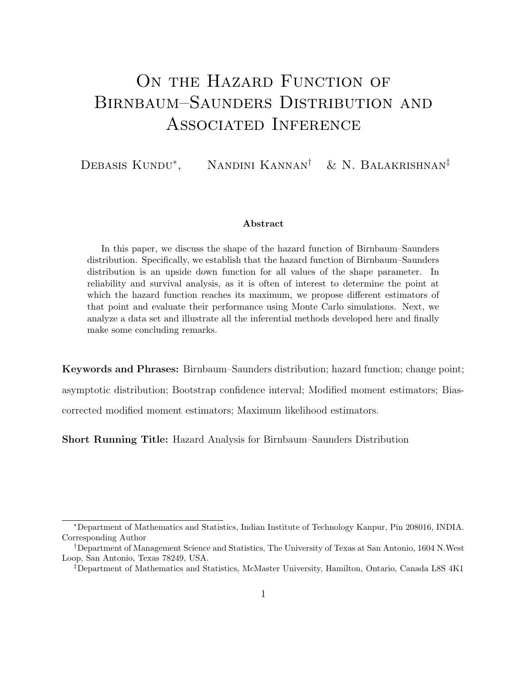# ON THE HAZARD FUNCTION OF Birnbaum–Saunders Distribution and Associated Inference

Debasis Kundu\*, Nandini Kannan<sup>†</sup> & N. Balakrishnan<sup>‡</sup>

#### Abstract

In this paper, we discuss the shape of the hazard function of Birnbaum–Saunders distribution. Specifically, we establish that the hazard function of Birnbaum–Saunders distribution is an upside down function for all values of the shape parameter. In reliability and survival analysis, as it is often of interest to determine the point at which the hazard function reaches its maximum, we propose different estimators of that point and evaluate their performance using Monte Carlo simulations. Next, we analyze a data set and illustrate all the inferential methods developed here and finally make some concluding remarks.

Keywords and Phrases: Birnbaum–Saunders distribution; hazard function; change point;

asymptotic distribution; Bootstrap confidence interval; Modified moment estimators; Biascorrected modified moment estimators; Maximum likelihood estimators.

Short Running Title: Hazard Analysis for Birnbaum–Saunders Distribution

<sup>∗</sup>Department of Mathematics and Statistics, Indian Institute of Technology Kanpur, Pin 208016, INDIA. Corresponding Author

<sup>†</sup>Department of Management Science and Statistics, The University of Texas at San Antonio, 1604 N.West Loop, San Antonio, Texas 78249, USA.

<sup>‡</sup>Department of Mathematics and Statistics, McMaster University, Hamilton, Ontario, Canada L8S 4K1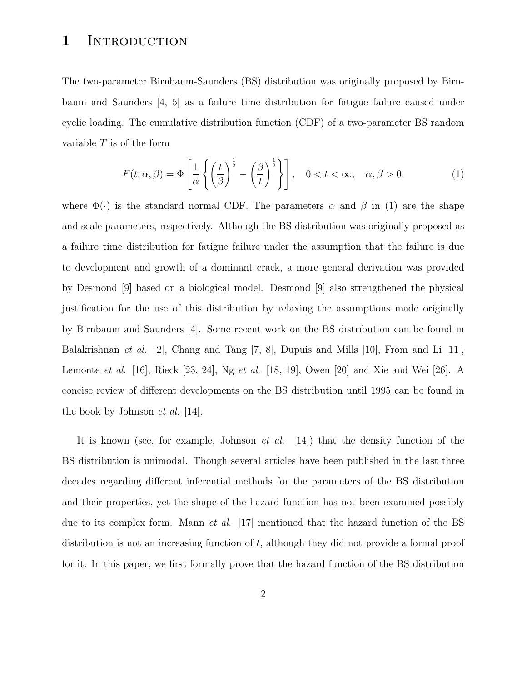#### 1 INTRODUCTION

The two-parameter Birnbaum-Saunders (BS) distribution was originally proposed by Birnbaum and Saunders [4, 5] as a failure time distribution for fatigue failure caused under cyclic loading. The cumulative distribution function (CDF) of a two-parameter BS random variable  $T$  is of the form

$$
F(t; \alpha, \beta) = \Phi\left[\frac{1}{\alpha} \left\{ \left(\frac{t}{\beta}\right)^{\frac{1}{2}} - \left(\frac{\beta}{t}\right)^{\frac{1}{2}} \right\} \right], \quad 0 < t < \infty, \quad \alpha, \beta > 0,
$$
 (1)

where  $\Phi(\cdot)$  is the standard normal CDF. The parameters  $\alpha$  and  $\beta$  in (1) are the shape and scale parameters, respectively. Although the BS distribution was originally proposed as a failure time distribution for fatigue failure under the assumption that the failure is due to development and growth of a dominant crack, a more general derivation was provided by Desmond [9] based on a biological model. Desmond [9] also strengthened the physical justification for the use of this distribution by relaxing the assumptions made originally by Birnbaum and Saunders [4]. Some recent work on the BS distribution can be found in Balakrishnan et al. [2], Chang and Tang [7, 8], Dupuis and Mills [10], From and Li [11], Lemonte et al. [16], Rieck [23, 24], Ng et al. [18, 19], Owen [20] and Xie and Wei [26]. A concise review of different developments on the BS distribution until 1995 can be found in the book by Johnson et al. [14].

It is known (see, for example, Johnson et al. [14]) that the density function of the BS distribution is unimodal. Though several articles have been published in the last three decades regarding different inferential methods for the parameters of the BS distribution and their properties, yet the shape of the hazard function has not been examined possibly due to its complex form. Mann *et al.* [17] mentioned that the hazard function of the BS distribution is not an increasing function of t, although they did not provide a formal proof for it. In this paper, we first formally prove that the hazard function of the BS distribution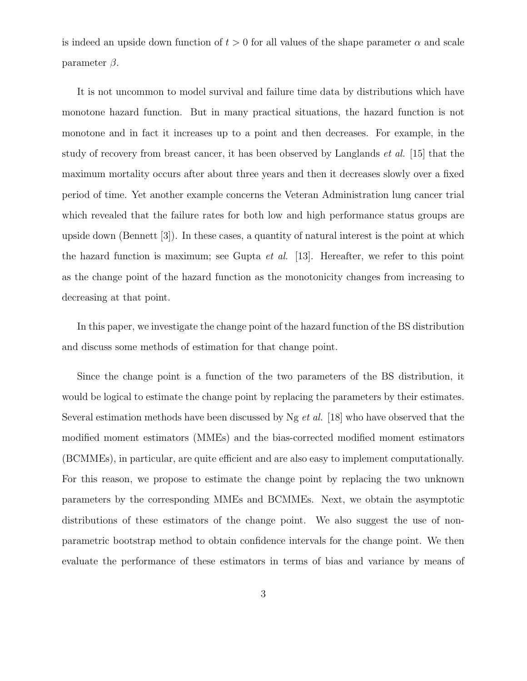is indeed an upside down function of  $t > 0$  for all values of the shape parameter  $\alpha$  and scale parameter  $\beta$ .

It is not uncommon to model survival and failure time data by distributions which have monotone hazard function. But in many practical situations, the hazard function is not monotone and in fact it increases up to a point and then decreases. For example, in the study of recovery from breast cancer, it has been observed by Langlands *et al.* [15] that the maximum mortality occurs after about three years and then it decreases slowly over a fixed period of time. Yet another example concerns the Veteran Administration lung cancer trial which revealed that the failure rates for both low and high performance status groups are upside down (Bennett [3]). In these cases, a quantity of natural interest is the point at which the hazard function is maximum; see Gupta *et al.* [13]. Hereafter, we refer to this point as the change point of the hazard function as the monotonicity changes from increasing to decreasing at that point.

In this paper, we investigate the change point of the hazard function of the BS distribution and discuss some methods of estimation for that change point.

Since the change point is a function of the two parameters of the BS distribution, it would be logical to estimate the change point by replacing the parameters by their estimates. Several estimation methods have been discussed by Ng et al. [18] who have observed that the modified moment estimators (MMEs) and the bias-corrected modified moment estimators (BCMMEs), in particular, are quite efficient and are also easy to implement computationally. For this reason, we propose to estimate the change point by replacing the two unknown parameters by the corresponding MMEs and BCMMEs. Next, we obtain the asymptotic distributions of these estimators of the change point. We also suggest the use of nonparametric bootstrap method to obtain confidence intervals for the change point. We then evaluate the performance of these estimators in terms of bias and variance by means of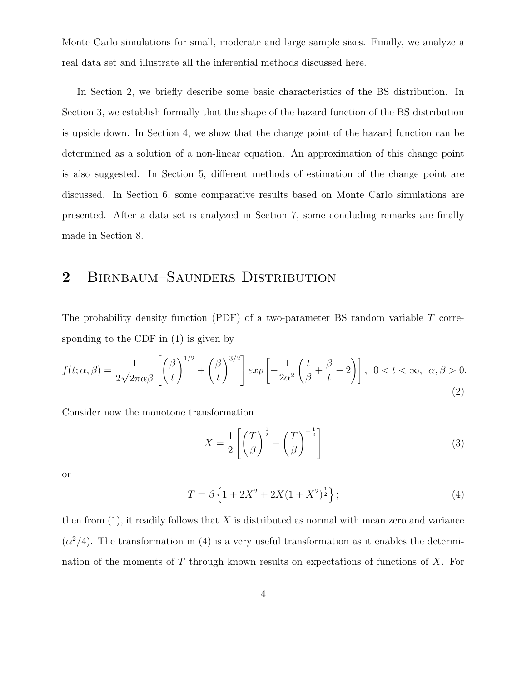Monte Carlo simulations for small, moderate and large sample sizes. Finally, we analyze a real data set and illustrate all the inferential methods discussed here.

In Section 2, we briefly describe some basic characteristics of the BS distribution. In Section 3, we establish formally that the shape of the hazard function of the BS distribution is upside down. In Section 4, we show that the change point of the hazard function can be determined as a solution of a non-linear equation. An approximation of this change point is also suggested. In Section 5, different methods of estimation of the change point are discussed. In Section 6, some comparative results based on Monte Carlo simulations are presented. After a data set is analyzed in Section 7, some concluding remarks are finally made in Section 8.

## 2 BIRNBAUM–SAUNDERS DISTRIBUTION

The probability density function (PDF) of a two-parameter BS random variable T corresponding to the CDF in (1) is given by

$$
f(t; \alpha, \beta) = \frac{1}{2\sqrt{2\pi}\alpha\beta} \left[ \left(\frac{\beta}{t}\right)^{1/2} + \left(\frac{\beta}{t}\right)^{3/2} \right] exp\left[ -\frac{1}{2\alpha^2} \left(\frac{t}{\beta} + \frac{\beta}{t} - 2\right) \right], \ 0 < t < \infty, \ \alpha, \beta > 0. \tag{2}
$$

Consider now the monotone transformation

$$
X = \frac{1}{2} \left[ \left( \frac{T}{\beta} \right)^{\frac{1}{2}} - \left( \frac{T}{\beta} \right)^{-\frac{1}{2}} \right]
$$
 (3)

or

$$
T = \beta \left\{ 1 + 2X^2 + 2X(1 + X^2)^{\frac{1}{2}} \right\};\tag{4}
$$

then from  $(1)$ , it readily follows that X is distributed as normal with mean zero and variance  $(\alpha^2/4)$ . The transformation in (4) is a very useful transformation as it enables the determination of the moments of  $T$  through known results on expectations of functions of  $X$ . For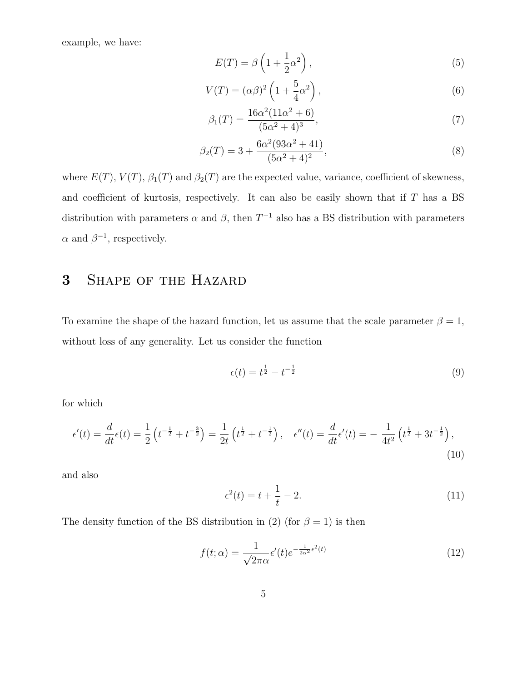example, we have:

$$
E(T) = \beta \left( 1 + \frac{1}{2} \alpha^2 \right),\tag{5}
$$

$$
V(T) = (\alpha \beta)^2 \left( 1 + \frac{5}{4} \alpha^2 \right),\tag{6}
$$

$$
\beta_1(T) = \frac{16\alpha^2(11\alpha^2 + 6)}{(5\alpha^2 + 4)^3},\tag{7}
$$

$$
\beta_2(T) = 3 + \frac{6\alpha^2 (93\alpha^2 + 41)}{(5\alpha^2 + 4)^2},\tag{8}
$$

where  $E(T)$ ,  $V(T)$ ,  $\beta_1(T)$  and  $\beta_2(T)$  are the expected value, variance, coefficient of skewness, and coefficient of kurtosis, respectively. It can also be easily shown that if  $T$  has a BS distribution with parameters  $\alpha$  and  $\beta$ , then  $T^{-1}$  also has a BS distribution with parameters  $\alpha$  and  $\beta^{-1}$ , respectively.

# 3 Shape of the Hazard

To examine the shape of the hazard function, let us assume that the scale parameter  $\beta = 1$ , without loss of any generality. Let us consider the function

$$
\epsilon(t) = t^{\frac{1}{2}} - t^{-\frac{1}{2}} \tag{9}
$$

for which

$$
\epsilon'(t) = \frac{d}{dt}\epsilon(t) = \frac{1}{2}\left(t^{-\frac{1}{2}} + t^{-\frac{3}{2}}\right) = \frac{1}{2t}\left(t^{\frac{1}{2}} + t^{-\frac{1}{2}}\right), \quad \epsilon''(t) = \frac{d}{dt}\epsilon'(t) = -\frac{1}{4t^2}\left(t^{\frac{1}{2}} + 3t^{-\frac{1}{2}}\right),\tag{10}
$$

and also

$$
\epsilon^2(t) = t + \frac{1}{t} - 2. \tag{11}
$$

The density function of the BS distribution in (2) (for  $\beta = 1$ ) is then

$$
f(t; \alpha) = \frac{1}{\sqrt{2\pi}\alpha} \epsilon'(t) e^{-\frac{1}{2\alpha^2} \epsilon^2(t)}
$$
\n(12)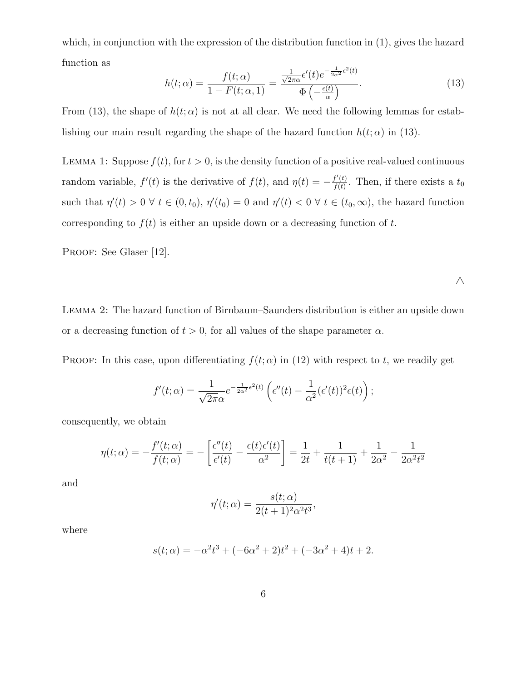which, in conjunction with the expression of the distribution function in (1), gives the hazard function as

$$
h(t; \alpha) = \frac{f(t; \alpha)}{1 - F(t; \alpha, 1)} = \frac{\frac{1}{\sqrt{2\pi\alpha}} \epsilon'(t) e^{-\frac{1}{2\alpha^2} \epsilon^2(t)}}{\Phi\left(-\frac{\epsilon(t)}{\alpha}\right)}.
$$
(13)

From (13), the shape of  $h(t; \alpha)$  is not at all clear. We need the following lemmas for establishing our main result regarding the shape of the hazard function  $h(t; \alpha)$  in (13).

LEMMA 1: Suppose  $f(t)$ , for  $t > 0$ , is the density function of a positive real-valued continuous random variable,  $f'(t)$  is the derivative of  $f(t)$ , and  $\eta(t) = -\frac{f'(t)}{f(t)}$  $\frac{f'(t)}{f(t)}$ . Then, if there exists a  $t_0$ such that  $\eta'(t) > 0 \ \forall \ t \in (0, t_0), \ \eta'(t_0) = 0$  and  $\eta'(t) < 0 \ \forall \ t \in (t_0, \infty)$ , the hazard function corresponding to  $f(t)$  is either an upside down or a decreasing function of t.

PROOF: See Glaser [12].

 $\triangle$ 

Lemma 2: The hazard function of Birnbaum–Saunders distribution is either an upside down or a decreasing function of  $t > 0$ , for all values of the shape parameter  $\alpha$ .

PROOF: In this case, upon differentiating  $f(t; \alpha)$  in (12) with respect to t, we readily get

$$
f'(t; \alpha) = \frac{1}{\sqrt{2\pi}\alpha} e^{-\frac{1}{2\alpha^2} \epsilon^2(t)} \left( \epsilon''(t) - \frac{1}{\alpha^2} (\epsilon'(t))^2 \epsilon(t) \right);
$$

consequently, we obtain

$$
\eta(t; \alpha) = -\frac{f'(t; \alpha)}{f(t; \alpha)} = -\left[\frac{\epsilon''(t)}{\epsilon'(t)} - \frac{\epsilon(t)\epsilon'(t)}{\alpha^2}\right] = \frac{1}{2t} + \frac{1}{t(t+1)} + \frac{1}{2\alpha^2} - \frac{1}{2\alpha^2 t^2}
$$

and

$$
\eta'(t; \alpha) = \frac{s(t; \alpha)}{2(t+1)^2 \alpha^2 t^3},
$$

where

$$
s(t; \alpha) = -\alpha^2 t^3 + (-6\alpha^2 + 2)t^2 + (-3\alpha^2 + 4)t + 2.
$$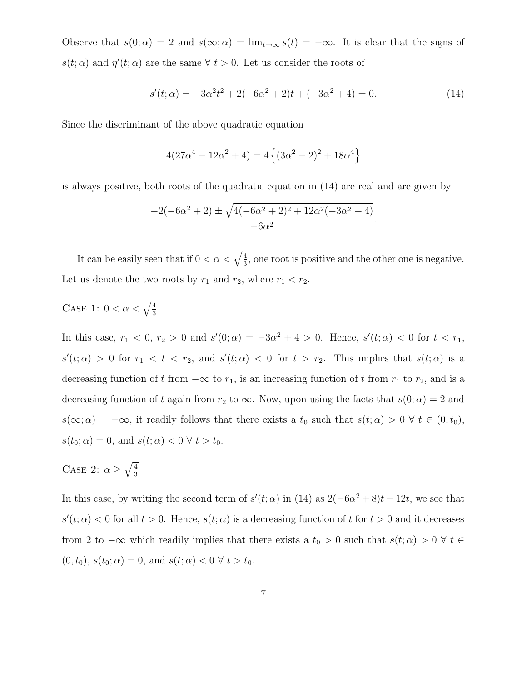Observe that  $s(0; \alpha) = 2$  and  $s(\infty; \alpha) = \lim_{t \to \infty} s(t) = -\infty$ . It is clear that the signs of  $s(t; \alpha)$  and  $\eta'(t; \alpha)$  are the same  $\forall t > 0$ . Let us consider the roots of

$$
s'(t; \alpha) = -3\alpha^2 t^2 + 2(-6\alpha^2 + 2)t + (-3\alpha^2 + 4) = 0.
$$
 (14)

Since the discriminant of the above quadratic equation

$$
4(27\alpha^4 - 12\alpha^2 + 4) = 4\left\{(3\alpha^2 - 2)^2 + 18\alpha^4\right\}
$$

is always positive, both roots of the quadratic equation in (14) are real and are given by

$$
\frac{-2(-6\alpha^2+2) \pm \sqrt{4(-6\alpha^2+2)^2+12\alpha^2(-3\alpha^2+4)}}{-6\alpha^2}.
$$

It can be easily seen that if  $0 < \alpha < \sqrt{\frac{4}{3}}$  $\frac{4}{3}$ , one root is positive and the other one is negative. Let us denote the two roots by  $r_1$  and  $r_2$ , where  $r_1 < r_2$ .

CASE 1: 
$$
0 < \alpha < \sqrt{\frac{4}{3}}
$$

In this case,  $r_1 < 0$ ,  $r_2 > 0$  and  $s'(0; \alpha) = -3\alpha^2 + 4 > 0$ . Hence,  $s'(t; \alpha) < 0$  for  $t < r_1$ ,  $s'(t; \alpha) > 0$  for  $r_1 < t < r_2$ , and  $s'(t; \alpha) < 0$  for  $t > r_2$ . This implies that  $s(t; \alpha)$  is a decreasing function of t from  $-\infty$  to  $r_1$ , is an increasing function of t from  $r_1$  to  $r_2$ , and is a decreasing function of t again from  $r_2$  to  $\infty$ . Now, upon using the facts that  $s(0; \alpha) = 2$  and  $s(\infty;\alpha) = -\infty$ , it readily follows that there exists a  $t_0$  such that  $s(t; \alpha) > 0 \ \forall \ t \in (0, t_0)$ ,  $s(t_0; \alpha) = 0$ , and  $s(t; \alpha) < 0 \ \forall \ t > t_0$ .

CASE 2:  $\alpha \geq \sqrt{\frac{4}{3}}$ 3

In this case, by writing the second term of  $s'(t; \alpha)$  in (14) as  $2(-6\alpha^2 + 8)t - 12t$ , we see that  $s'(t; \alpha) < 0$  for all  $t > 0$ . Hence,  $s(t; \alpha)$  is a decreasing function of t for  $t > 0$  and it decreases from 2 to  $-\infty$  which readily implies that there exists a  $t_0 > 0$  such that  $s(t; \alpha) > 0 \ \forall t \in$  $(0, t_0), s(t_0; \alpha) = 0, \text{ and } s(t; \alpha) < 0 \ \forall \ t > t_0.$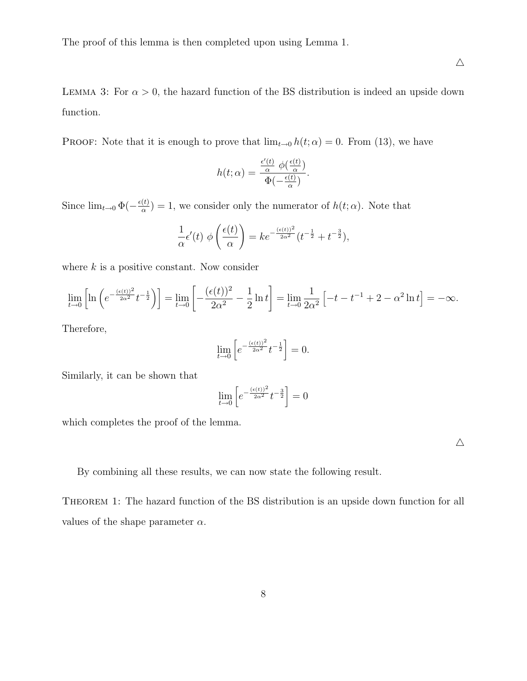The proof of this lemma is then completed upon using Lemma 1.

LEMMA 3: For  $\alpha > 0$ , the hazard function of the BS distribution is indeed an upside down function.

PROOF: Note that it is enough to prove that  $\lim_{t\to 0} h(t;\alpha) = 0$ . From (13), we have

$$
h(t; \alpha) = \frac{\frac{\epsilon'(t)}{\alpha} \phi(\frac{\epsilon(t)}{\alpha})}{\Phi(-\frac{\epsilon(t)}{\alpha})}.
$$

Since  $\lim_{t\to 0} \Phi(-\frac{\epsilon(t)}{\alpha})$  $\frac{\partial(t)}{\partial a}$  = 1, we consider only the numerator of  $h(t; \alpha)$ . Note that

$$
\frac{1}{\alpha}\epsilon'(t) \phi\left(\frac{\epsilon(t)}{\alpha}\right) = ke^{-\frac{(\epsilon(t))^2}{2\alpha^2}}(t^{-\frac{1}{2}} + t^{-\frac{3}{2}}),
$$

where  $k$  is a positive constant. Now consider

$$
\lim_{t \to 0} \left[ \ln \left( e^{-\frac{(\epsilon(t))^2}{2\alpha^2}} t^{-\frac{1}{2}} \right) \right] = \lim_{t \to 0} \left[ -\frac{(\epsilon(t))^2}{2\alpha^2} - \frac{1}{2} \ln t \right] = \lim_{t \to 0} \frac{1}{2\alpha^2} \left[ -t - t^{-1} + 2 - \alpha^2 \ln t \right] = -\infty.
$$

Therefore,

$$
\lim_{t \to 0} \left[ e^{-\frac{(\epsilon(t))^2}{2\alpha^2}} t^{-\frac{1}{2}} \right] = 0.
$$

Similarly, it can be shown that

$$
\lim_{t \to 0} \left[ e^{-\frac{(\epsilon(t))^2}{2\alpha^2}} t^{-\frac{3}{2}} \right] = 0
$$

which completes the proof of the lemma.

 $\triangle$ 

By combining all these results, we can now state the following result.

THEOREM 1: The hazard function of the BS distribution is an upside down function for all values of the shape parameter  $\alpha$ .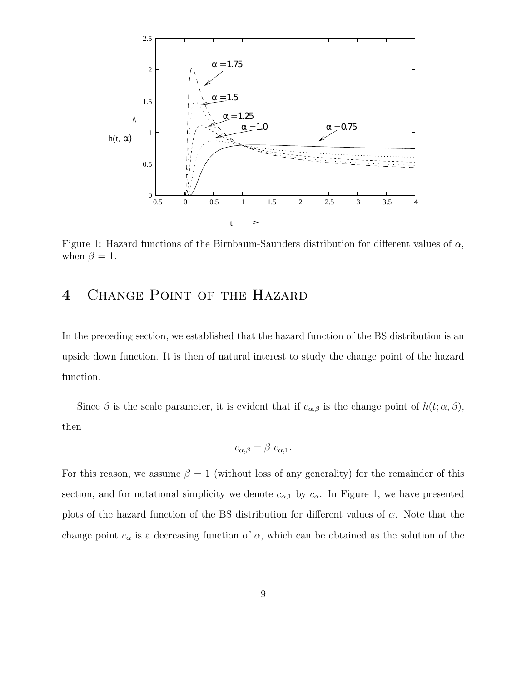

Figure 1: Hazard functions of the Birnbaum-Saunders distribution for different values of  $\alpha$ , when  $\beta = 1$ .

# 4 Change Point of the Hazard

In the preceding section, we established that the hazard function of the BS distribution is an upside down function. It is then of natural interest to study the change point of the hazard function.

Since  $\beta$  is the scale parameter, it is evident that if  $c_{\alpha,\beta}$  is the change point of  $h(t; \alpha, \beta)$ , then

$$
c_{\alpha,\beta} = \beta \ c_{\alpha,1}.
$$

For this reason, we assume  $\beta = 1$  (without loss of any generality) for the remainder of this section, and for notational simplicity we denote  $c_{\alpha,1}$  by  $c_{\alpha}$ . In Figure 1, we have presented plots of the hazard function of the BS distribution for different values of  $\alpha$ . Note that the change point  $c_{\alpha}$  is a decreasing function of  $\alpha$ , which can be obtained as the solution of the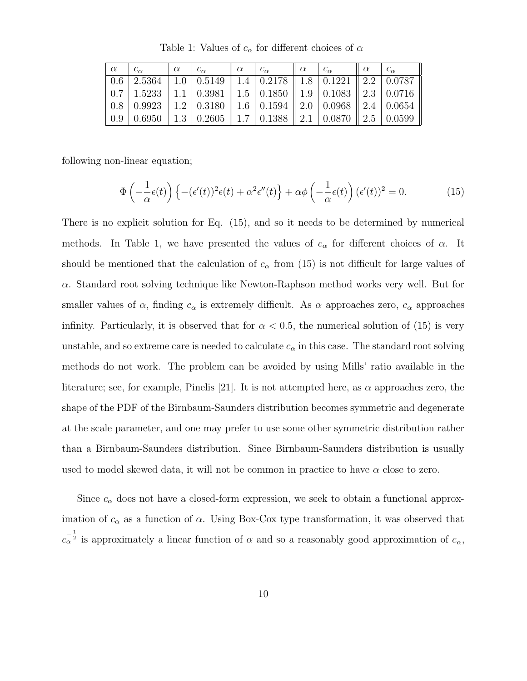| $\alpha$ | $c_{\alpha}$ | $\alpha$ $c_{\alpha}$ |                                                                                                                                | $\mathsf{I}\alpha$ | $c_{\alpha}$ | $\alpha$ $c_{\alpha}$ | $\mathsf{u} \alpha$ |  |
|----------|--------------|-----------------------|--------------------------------------------------------------------------------------------------------------------------------|--------------------|--------------|-----------------------|---------------------|--|
|          |              |                       |                                                                                                                                |                    |              |                       |                     |  |
|          |              |                       | $\mid 0.7 \mid 1.5233 \parallel 1.1 \mid 0.3981 \parallel 1.5 \mid 0.1850 \parallel 1.9 \mid 0.1083 \parallel 2.3 \mid 0.0716$ |                    |              |                       |                     |  |
|          |              |                       | $\mid$ 0.8 $\mid$ 0.9923 $\mid$ 1.2 $\mid$ 0.3180 $\mid$ 1.6 $\mid$ 0.1594 $\mid$ 2.0 $\mid$ 0.0968 $\mid$ 2.4 $\mid$ 0.0654   |                    |              |                       |                     |  |
|          |              |                       | $\mid 0.9 \mid 0.6950 \parallel 1.3 \mid 0.2605 \parallel 1.7 \mid 0.1388 \parallel 2.1 \mid 0.0870 \parallel 2.5 \mid 0.0599$ |                    |              |                       |                     |  |

Table 1: Values of  $c_{\alpha}$  for different choices of  $\alpha$ 

following non-linear equation;

$$
\Phi\left(-\frac{1}{\alpha}\epsilon(t)\right)\left\{-\left(\epsilon'(t)\right)^2\epsilon(t) + \alpha^2\epsilon''(t)\right\} + \alpha\phi\left(-\frac{1}{\alpha}\epsilon(t)\right)\left(\epsilon'(t)\right)^2 = 0. \tag{15}
$$

There is no explicit solution for Eq. (15), and so it needs to be determined by numerical methods. In Table 1, we have presented the values of  $c_{\alpha}$  for different choices of  $\alpha$ . It should be mentioned that the calculation of  $c_{\alpha}$  from (15) is not difficult for large values of α. Standard root solving technique like Newton-Raphson method works very well. But for smaller values of  $\alpha$ , finding  $c_{\alpha}$  is extremely difficult. As  $\alpha$  approaches zero,  $c_{\alpha}$  approaches infinity. Particularly, it is observed that for  $\alpha < 0.5$ , the numerical solution of (15) is very unstable, and so extreme care is needed to calculate  $c_{\alpha}$  in this case. The standard root solving methods do not work. The problem can be avoided by using Mills' ratio available in the literature; see, for example, Pinelis [21]. It is not attempted here, as  $\alpha$  approaches zero, the shape of the PDF of the Birnbaum-Saunders distribution becomes symmetric and degenerate at the scale parameter, and one may prefer to use some other symmetric distribution rather than a Birnbaum-Saunders distribution. Since Birnbaum-Saunders distribution is usually used to model skewed data, it will not be common in practice to have  $\alpha$  close to zero.

Since  $c_{\alpha}$  does not have a closed-form expression, we seek to obtain a functional approximation of  $c_{\alpha}$  as a function of  $\alpha$ . Using Box-Cox type transformation, it was observed that  $c_{\alpha}^{-\frac{1}{2}}$  is approximately a linear function of  $\alpha$  and so a reasonably good approximation of  $c_{\alpha}$ ,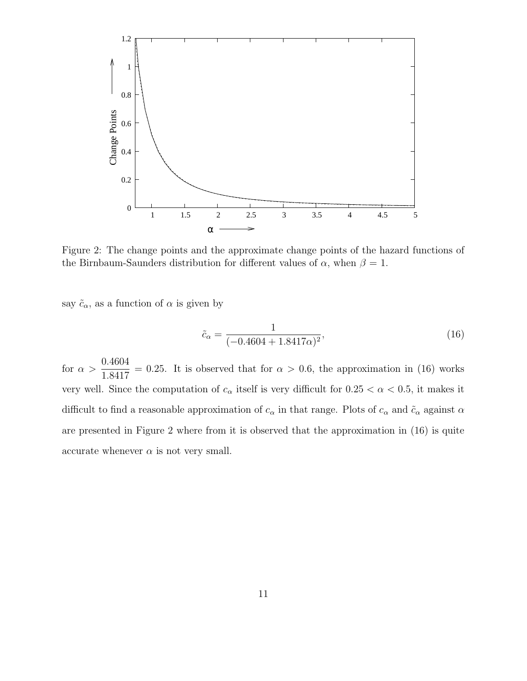

Figure 2: The change points and the approximate change points of the hazard functions of the Birnbaum-Saunders distribution for different values of  $\alpha$ , when  $\beta = 1$ .

say  $\tilde{c}_{\alpha}$ , as a function of  $\alpha$  is given by

$$
\tilde{c}_{\alpha} = \frac{1}{(-0.4604 + 1.8417\alpha)^2},\tag{16}
$$

for  $\alpha >$ 0.4604 1.8417  $= 0.25$ . It is observed that for  $\alpha > 0.6$ , the approximation in (16) works very well. Since the computation of  $c_{\alpha}$  itself is very difficult for  $0.25 < \alpha < 0.5$ , it makes it difficult to find a reasonable approximation of  $c_{\alpha}$  in that range. Plots of  $c_{\alpha}$  and  $\tilde{c}_{\alpha}$  against  $\alpha$ are presented in Figure 2 where from it is observed that the approximation in (16) is quite accurate whenever  $\alpha$  is not very small.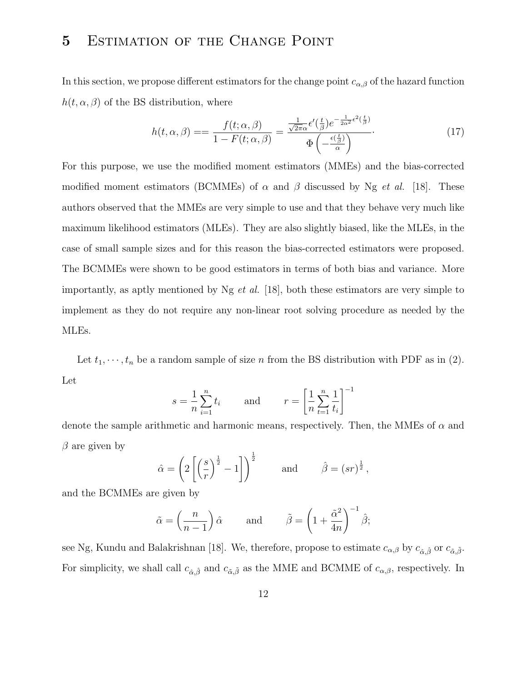# 5 Estimation of the Change Point

In this section, we propose different estimators for the change point  $c_{\alpha,\beta}$  of the hazard function  $h(t, \alpha, \beta)$  of the BS distribution, where

$$
h(t, \alpha, \beta) = \frac{f(t; \alpha, \beta)}{1 - F(t; \alpha, \beta)} = \frac{\frac{1}{\sqrt{2\pi}\alpha} \epsilon'(\frac{t}{\beta}) e^{-\frac{1}{2\alpha^2} \epsilon^2(\frac{t}{\beta})}}{\Phi\left(-\frac{\epsilon(\frac{t}{\beta})}{\alpha}\right)}.
$$
(17)

For this purpose, we use the modified moment estimators (MMEs) and the bias-corrected modified moment estimators (BCMMEs) of  $\alpha$  and  $\beta$  discussed by Ng *et al.* [18]. These authors observed that the MMEs are very simple to use and that they behave very much like maximum likelihood estimators (MLEs). They are also slightly biased, like the MLEs, in the case of small sample sizes and for this reason the bias-corrected estimators were proposed. The BCMMEs were shown to be good estimators in terms of both bias and variance. More importantly, as aptly mentioned by  $Ng$  *et al.* [18], both these estimators are very simple to implement as they do not require any non-linear root solving procedure as needed by the MLEs.

Let  $t_1, \dots, t_n$  be a random sample of size n from the BS distribution with PDF as in (2). Let

$$
s = \frac{1}{n} \sum_{i=1}^{n} t_i
$$
 and 
$$
r = \left[ \frac{1}{n} \sum_{t=1}^{n} \frac{1}{t_i} \right]^{-1}
$$

denote the sample arithmetic and harmonic means, respectively. Then, the MMEs of  $\alpha$  and  $\beta$  are given by

$$
\hat{\alpha} = \left(2\left[\left(\frac{s}{r}\right)^{\frac{1}{2}} - 1\right]\right)^{\frac{1}{2}} \quad \text{and} \quad \hat{\beta} = (sr)^{\frac{1}{2}},
$$

and the BCMMEs are given by

$$
\tilde{\alpha} = \left(\frac{n}{n-1}\right)\hat{\alpha}
$$
 and  $\tilde{\beta} = \left(1 + \frac{\tilde{\alpha}^2}{4n}\right)^{-1}\hat{\beta};$ 

see Ng, Kundu and Balakrishnan [18]. We, therefore, propose to estimate  $c_{\alpha,\beta}$  by  $c_{\hat{\alpha},\hat{\beta}}$  or  $c_{\tilde{\alpha},\tilde{\beta}}$ . For simplicity, we shall call  $c_{\hat{\alpha}, \hat{\beta}}$  and  $c_{\tilde{\alpha}, \tilde{\beta}}$  as the MME and BCMME of  $c_{\alpha, \beta}$ , respectively. In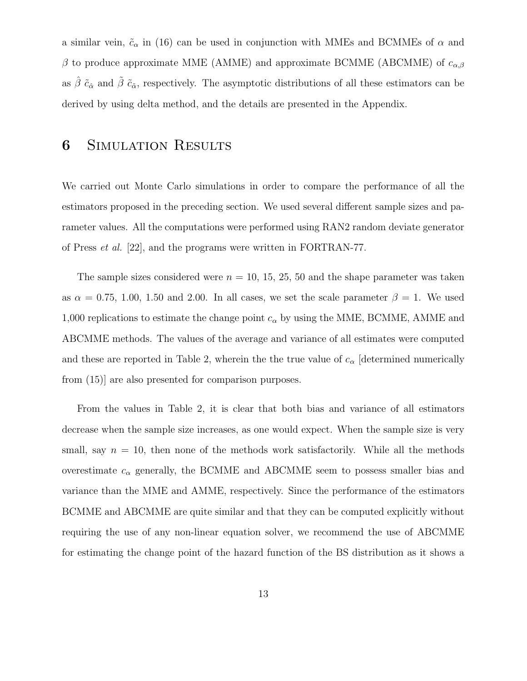a similar vein,  $\tilde{c}_{\alpha}$  in (16) can be used in conjunction with MMEs and BCMMEs of  $\alpha$  and  $\beta$  to produce approximate MME (AMME) and approximate BCMME (ABCMME) of  $c_{\alpha,\beta}$ as  $\hat{\beta} \tilde{c}_{\hat{\alpha}}$  and  $\tilde{\beta} \tilde{c}_{\hat{\alpha}}$ , respectively. The asymptotic distributions of all these estimators can be derived by using delta method, and the details are presented in the Appendix.

### **6** SIMULATION RESULTS

We carried out Monte Carlo simulations in order to compare the performance of all the estimators proposed in the preceding section. We used several different sample sizes and parameter values. All the computations were performed using RAN2 random deviate generator of Press et al. [22], and the programs were written in FORTRAN-77.

The sample sizes considered were  $n = 10, 15, 25, 50$  and the shape parameter was taken as  $\alpha = 0.75, 1.00, 1.50,$  and 2.00. In all cases, we set the scale parameter  $\beta = 1$ . We used 1,000 replications to estimate the change point  $c_{\alpha}$  by using the MME, BCMME, AMME and ABCMME methods. The values of the average and variance of all estimates were computed and these are reported in Table 2, wherein the the true value of  $c_{\alpha}$  [determined numerically from (15)] are also presented for comparison purposes.

From the values in Table 2, it is clear that both bias and variance of all estimators decrease when the sample size increases, as one would expect. When the sample size is very small, say  $n = 10$ , then none of the methods work satisfactorily. While all the methods overestimate  $c_{\alpha}$  generally, the BCMME and ABCMME seem to possess smaller bias and variance than the MME and AMME, respectively. Since the performance of the estimators BCMME and ABCMME are quite similar and that they can be computed explicitly without requiring the use of any non-linear equation solver, we recommend the use of ABCMME for estimating the change point of the hazard function of the BS distribution as it shows a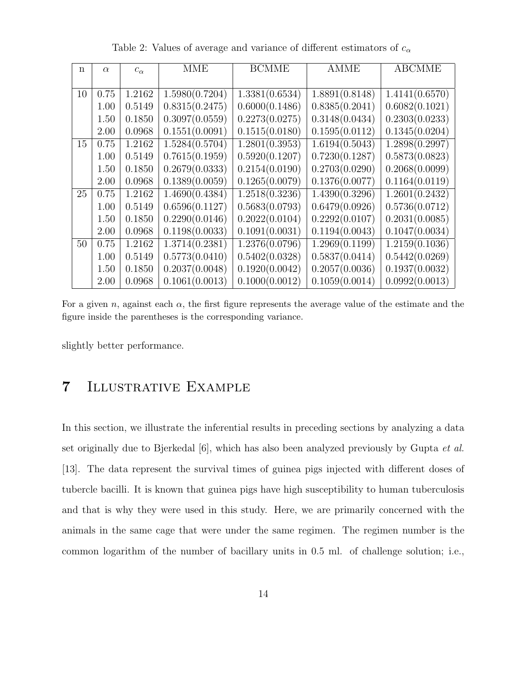| n  | $\alpha$ | $c_{\alpha}$ | MME            | <b>BCMME</b>   | <b>AMME</b>    | <b>ABCMME</b>               |
|----|----------|--------------|----------------|----------------|----------------|-----------------------------|
|    |          |              |                |                |                |                             |
| 10 | 0.75     | 1.2162       | 1.5980(0.7204) | 1.3381(0.6534) | 1.8891(0.8148) | 1.4141(0.6570)              |
|    | 1.00     | 0.5149       | 0.8315(0.2475) | 0.6000(0.1486) | 0.8385(0.2041) | 0.6082(0.1021)              |
|    | 1.50     | 0.1850       | 0.3097(0.0559) | 0.2273(0.0275) | 0.3148(0.0434) | 0.2303(0.0233)              |
|    | 2.00     | 0.0968       | 0.1551(0.0091) | 0.1515(0.0180) | 0.1595(0.0112) | 0.1345(0.0204)              |
| 15 | 0.75     | 1.2162       | 1.5284(0.5704) | 1.2801(0.3953) | 1.6194(0.5043) | 1.2898(0.2997)              |
|    | 1.00     | 0.5149       | 0.7615(0.1959) | 0.5920(0.1207) | 0.7230(0.1287) | 0.5873(0.0823)              |
|    | 1.50     | 0.1850       | 0.2679(0.0333) | 0.2154(0.0190) | 0.2703(0.0290) | 0.2068(0.0099)              |
|    | 2.00     | 0.0968       | 0.1389(0.0059) | 0.1265(0.0079) | 0.1376(0.0077) | 0.1164(0.0119)              |
| 25 | 0.75     | 1.2162       | 1.4690(0.4384) | 1.2518(0.3236) | 1.4390(0.3296) | $\overline{1.2601(0.2432)}$ |
|    | 1.00     | 0.5149       | 0.6596(0.1127) | 0.5683(0.0793) | 0.6479(0.0926) | 0.5736(0.0712)              |
|    | 1.50     | 0.1850       | 0.2290(0.0146) | 0.2022(0.0104) | 0.2292(0.0107) | 0.2031(0.0085)              |
|    | 2.00     | 0.0968       | 0.1198(0.0033) | 0.1091(0.0031) | 0.1194(0.0043) | 0.1047(0.0034)              |
| 50 | 0.75     | 1.2162       | 1.3714(0.2381) | 1.2376(0.0796) | 1.2969(0.1199) | 1.2159(0.1036)              |
|    | 1.00     | 0.5149       | 0.5773(0.0410) | 0.5402(0.0328) | 0.5837(0.0414) | 0.5442(0.0269)              |
|    | 1.50     | 0.1850       | 0.2037(0.0048) | 0.1920(0.0042) | 0.2057(0.0036) | 0.1937(0.0032)              |
|    | 2.00     | 0.0968       | 0.1061(0.0013) | 0.1000(0.0012) | 0.1059(0.0014) | 0.0992(0.0013)              |

Table 2: Values of average and variance of different estimators of  $c_{\alpha}$ 

For a given n, against each  $\alpha$ , the first figure represents the average value of the estimate and the figure inside the parentheses is the corresponding variance.

slightly better performance.

# 7 Illustrative Example

In this section, we illustrate the inferential results in preceding sections by analyzing a data set originally due to Bjerkedal [6], which has also been analyzed previously by Gupta et al. [13]. The data represent the survival times of guinea pigs injected with different doses of tubercle bacilli. It is known that guinea pigs have high susceptibility to human tuberculosis and that is why they were used in this study. Here, we are primarily concerned with the animals in the same cage that were under the same regimen. The regimen number is the common logarithm of the number of bacillary units in 0.5 ml. of challenge solution; i.e.,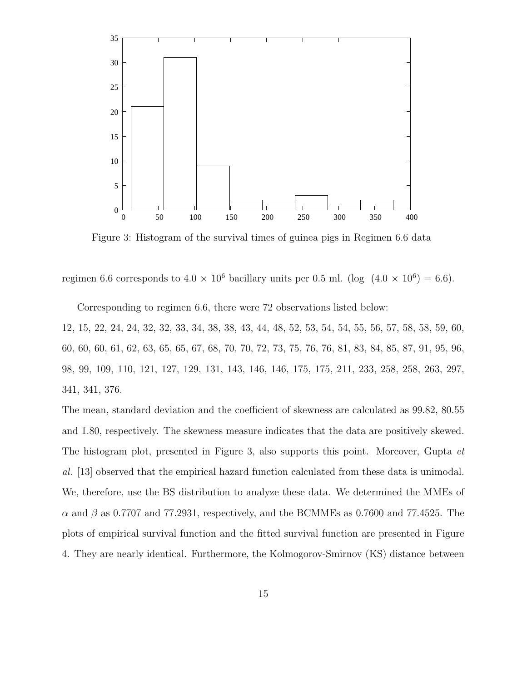

Figure 3: Histogram of the survival times of guinea pigs in Regimen 6.6 data

regimen 6.6 corresponds to  $4.0 \times 10^6$  bacillary units per 0.5 ml. (log  $(4.0 \times 10^6) = 6.6$ ).

Corresponding to regimen 6.6, there were 72 observations listed below:

12, 15, 22, 24, 24, 32, 32, 33, 34, 38, 38, 43, 44, 48, 52, 53, 54, 54, 55, 56, 57, 58, 58, 59, 60, 60, 60, 60, 61, 62, 63, 65, 65, 67, 68, 70, 70, 72, 73, 75, 76, 76, 81, 83, 84, 85, 87, 91, 95, 96, 98, 99, 109, 110, 121, 127, 129, 131, 143, 146, 146, 175, 175, 211, 233, 258, 258, 263, 297, 341, 341, 376.

The mean, standard deviation and the coefficient of skewness are calculated as 99.82, 80.55 and 1.80, respectively. The skewness measure indicates that the data are positively skewed. The histogram plot, presented in Figure 3, also supports this point. Moreover, Gupta *et* al. [13] observed that the empirical hazard function calculated from these data is unimodal. We, therefore, use the BS distribution to analyze these data. We determined the MMEs of  $\alpha$  and  $\beta$  as 0.7707 and 77.2931, respectively, and the BCMMEs as 0.7600 and 77.4525. The plots of empirical survival function and the fitted survival function are presented in Figure 4. They are nearly identical. Furthermore, the Kolmogorov-Smirnov (KS) distance between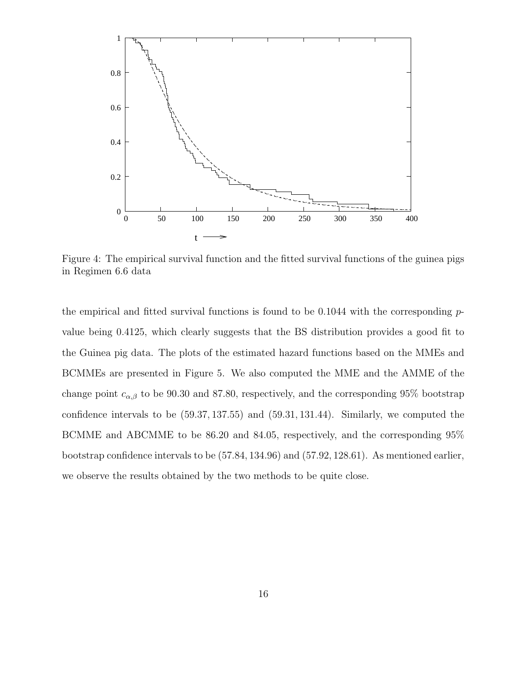

Figure 4: The empirical survival function and the fitted survival functions of the guinea pigs in Regimen 6.6 data

the empirical and fitted survival functions is found to be  $0.1044$  with the corresponding  $p$ value being 0.4125, which clearly suggests that the BS distribution provides a good fit to the Guinea pig data. The plots of the estimated hazard functions based on the MMEs and BCMMEs are presented in Figure 5. We also computed the MME and the AMME of the change point  $c_{\alpha,\beta}$  to be 90.30 and 87.80, respectively, and the corresponding 95% bootstrap confidence intervals to be (59.37, 137.55) and (59.31, 131.44). Similarly, we computed the BCMME and ABCMME to be 86.20 and 84.05, respectively, and the corresponding 95% bootstrap confidence intervals to be (57.84, 134.96) and (57.92, 128.61). As mentioned earlier, we observe the results obtained by the two methods to be quite close.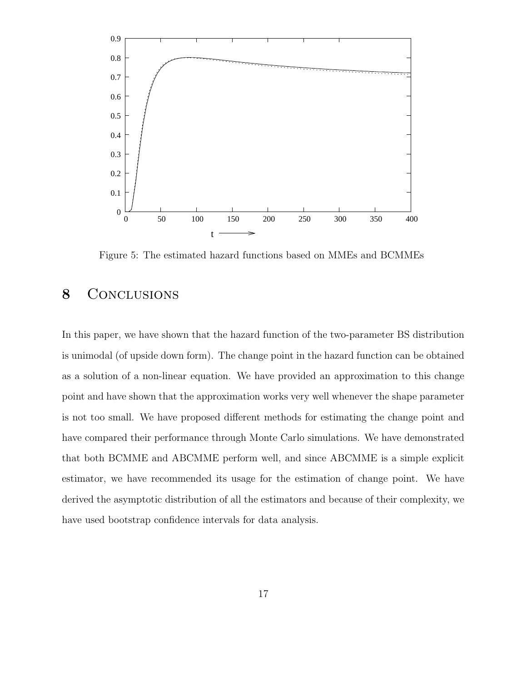

Figure 5: The estimated hazard functions based on MMEs and BCMMEs

### 8 CONCLUSIONS

In this paper, we have shown that the hazard function of the two-parameter BS distribution is unimodal (of upside down form). The change point in the hazard function can be obtained as a solution of a non-linear equation. We have provided an approximation to this change point and have shown that the approximation works very well whenever the shape parameter is not too small. We have proposed different methods for estimating the change point and have compared their performance through Monte Carlo simulations. We have demonstrated that both BCMME and ABCMME perform well, and since ABCMME is a simple explicit estimator, we have recommended its usage for the estimation of change point. We have derived the asymptotic distribution of all the estimators and because of their complexity, we have used bootstrap confidence intervals for data analysis.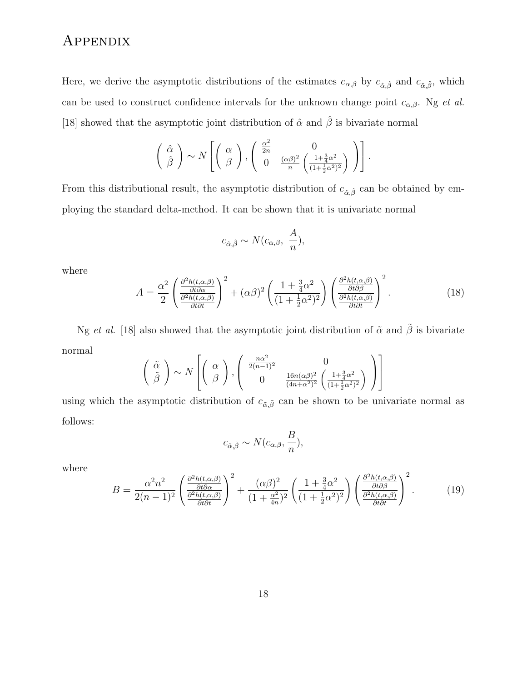# Appendix

Here, we derive the asymptotic distributions of the estimates  $c_{\alpha,\beta}$  by  $c_{\hat{\alpha},\hat{\beta}}$  and  $c_{\tilde{\alpha},\tilde{\beta}}$ , which can be used to construct confidence intervals for the unknown change point  $c_{\alpha,\beta}$ . Ng et al. [18] showed that the asymptotic joint distribution of  $\hat{\alpha}$  and  $\hat{\beta}$  is bivariate normal

$$
\left(\begin{array}{c}\hat{\alpha} \\ \hat{\beta}\end{array}\right) \sim N\left[\left(\begin{array}{c}\alpha \\ \beta\end{array}\right), \left(\begin{array}{cc}\frac{\alpha^2}{2n} & 0 \\ 0 & \frac{(\alpha\beta)^2}{n} \left(\frac{1+\frac{3}{4}\alpha^2}{(1+\frac{1}{2}\alpha^2)^2}\right)\end{array}\right)\right].
$$

From this distributional result, the asymptotic distribution of  $c_{\hat{\alpha},\hat{\beta}}$  can be obtained by employing the standard delta-method. It can be shown that it is univariate normal

$$
c_{\hat{\alpha},\hat{\beta}} \sim N(c_{\alpha,\beta}, \frac{A}{n}),
$$

where

$$
A = \frac{\alpha^2}{2} \left( \frac{\frac{\partial^2 h(t, \alpha, \beta)}{\partial t \partial \alpha}}{\frac{\partial^2 h(t, \alpha, \beta)}{\partial t \partial t}} \right)^2 + (\alpha \beta)^2 \left( \frac{1 + \frac{3}{4} \alpha^2}{(1 + \frac{1}{2} \alpha^2)^2} \right) \left( \frac{\frac{\partial^2 h(t, \alpha, \beta)}{\partial t \partial \beta}}{\frac{\partial^2 h(t, \alpha, \beta)}{\partial t \partial t}} \right)^2.
$$
(18)

Ng et al. [18] also showed that the asymptotic joint distribution of  $\tilde{\alpha}$  and  $\tilde{\beta}$  is bivariate normal

$$
\begin{pmatrix}\n\tilde{\alpha} \\
\tilde{\beta}\n\end{pmatrix}\n\sim N\left[\begin{pmatrix}\n\alpha \\
\beta\n\end{pmatrix},\n\begin{pmatrix}\n\frac{n\alpha^2}{2(n-1)^2} & 0 \\
0 & \frac{16n(\alpha\beta)^2}{(4n+\alpha^2)^2} \left(\frac{1+\frac{3}{4}\alpha^2}{(1+\frac{1}{2}\alpha^2)^2}\right)\n\end{pmatrix}\right]
$$

using which the asymptotic distribution of  $c_{\tilde{\alpha},\tilde{\beta}}$  can be shown to be univariate normal as follows:

$$
c_{\tilde{\alpha},\tilde{\beta}} \sim N(c_{\alpha,\beta}, \frac{B}{n}),
$$

where

$$
B = \frac{\alpha^2 n^2}{2(n-1)^2} \left( \frac{\frac{\partial^2 h(t, \alpha, \beta)}{\partial t \partial \alpha}}{\frac{\partial^2 h(t, \alpha, \beta)}{\partial t \partial t}} \right)^2 + \frac{(\alpha \beta)^2}{(1 + \frac{\alpha^2}{4n})^2} \left( \frac{1 + \frac{3}{4} \alpha^2}{(1 + \frac{1}{2} \alpha^2)^2} \right) \left( \frac{\frac{\partial^2 h(t, \alpha, \beta)}{\partial t \partial \beta}}{\frac{\partial^2 h(t, \alpha, \beta)}{\partial t \partial t}} \right)^2.
$$
(19)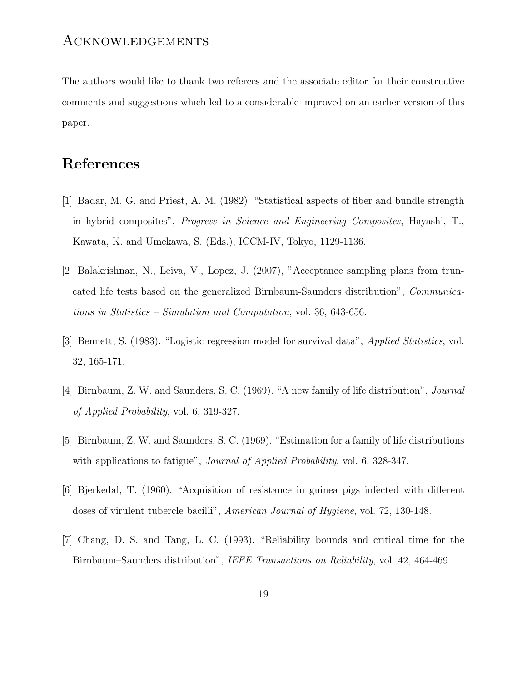#### Acknowledgements

The authors would like to thank two referees and the associate editor for their constructive comments and suggestions which led to a considerable improved on an earlier version of this paper.

### References

- [1] Badar, M. G. and Priest, A. M. (1982). "Statistical aspects of fiber and bundle strength in hybrid composites", Progress in Science and Engineering Composites, Hayashi, T., Kawata, K. and Umekawa, S. (Eds.), ICCM-IV, Tokyo, 1129-1136.
- [2] Balakrishnan, N., Leiva, V., Lopez, J. (2007), "Acceptance sampling plans from truncated life tests based on the generalized Birnbaum-Saunders distribution", Communications in Statistics – Simulation and Computation, vol. 36, 643-656.
- [3] Bennett, S. (1983). "Logistic regression model for survival data", Applied Statistics, vol. 32, 165-171.
- [4] Birnbaum, Z. W. and Saunders, S. C. (1969). "A new family of life distribution", Journal of Applied Probability, vol. 6, 319-327.
- [5] Birnbaum, Z. W. and Saunders, S. C. (1969). "Estimation for a family of life distributions with applications to fatigue", *Journal of Applied Probability*, vol. 6, 328-347.
- [6] Bjerkedal, T. (1960). "Acquisition of resistance in guinea pigs infected with different doses of virulent tubercle bacilli", American Journal of Hygiene, vol. 72, 130-148.
- [7] Chang, D. S. and Tang, L. C. (1993). "Reliability bounds and critical time for the Birnbaum–Saunders distribution", IEEE Transactions on Reliability, vol. 42, 464-469.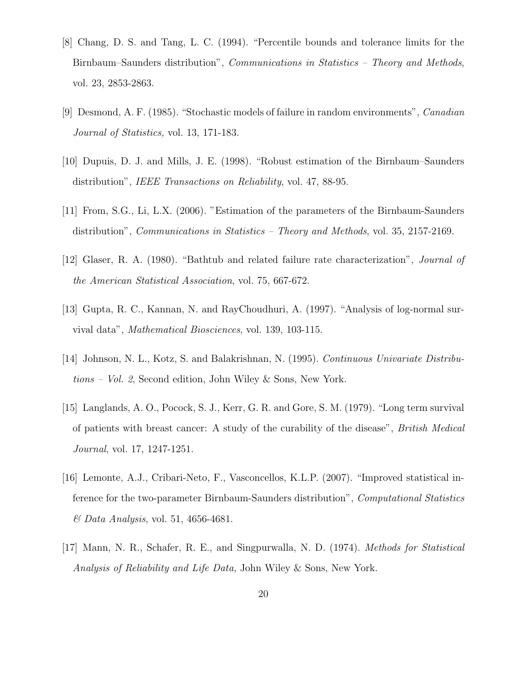- [8] Chang, D. S. and Tang, L. C. (1994). "Percentile bounds and tolerance limits for the Birnbaum–Saunders distribution", Communications in Statistics – Theory and Methods, vol. 23, 2853-2863.
- [9] Desmond, A. F. (1985). "Stochastic models of failure in random environments", Canadian Journal of Statistics, vol. 13, 171-183.
- [10] Dupuis, D. J. and Mills, J. E. (1998). "Robust estimation of the Birnbaum–Saunders distribution", *IEEE Transactions on Reliability*, vol. 47, 88-95.
- [11] From, S.G., Li, L.X. (2006). "Estimation of the parameters of the Birnbaum-Saunders distribution", Communications in Statistics – Theory and Methods, vol. 35, 2157-2169.
- [12] Glaser, R. A. (1980). "Bathtub and related failure rate characterization", Journal of the American Statistical Association, vol. 75, 667-672.
- [13] Gupta, R. C., Kannan, N. and RayChoudhuri, A. (1997). "Analysis of log-normal survival data", Mathematical Biosciences, vol. 139, 103-115.
- [14] Johnson, N. L., Kotz, S. and Balakrishnan, N. (1995). Continuous Univariate Distributions – Vol. 2, Second edition, John Wiley & Sons, New York.
- [15] Langlands, A. O., Pocock, S. J., Kerr, G. R. and Gore, S. M. (1979). "Long term survival of patients with breast cancer: A study of the curability of the disease", British Medical Journal, vol. 17, 1247-1251.
- [16] Lemonte, A.J., Cribari-Neto, F., Vasconcellos, K.L.P. (2007). "Improved statistical inference for the two-parameter Birnbaum-Saunders distribution", Computational Statistics  $\mathcal{O}$  Data Analysis, vol. 51, 4656-4681.
- [17] Mann, N. R., Schafer, R. E., and Singpurwalla, N. D. (1974). Methods for Statistical Analysis of Reliability and Life Data, John Wiley & Sons, New York.